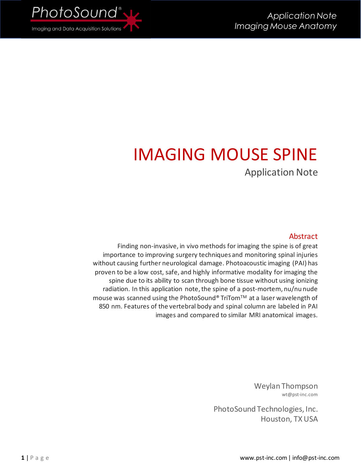

# IMAGING MOUSE SPINE Application Note

#### Abstract

Finding non-invasive, in vivo methods for imaging the spine is of great importance to improving surgery techniques and monitoring spinal injuries without causing further neurological damage. Photoacoustic imaging (PAI) has proven to be a low cost, safe, and highly informative modality for imaging the spine due to its ability to scan through bone tissue without using ionizing radiation. In this application note, the spine of a post-mortem, nu/nu nude mouse was scanned using the PhotoSound® TriTomTM at a laser wavelength of 850 nm. Features of the vertebral body and spinal column are labeled in PAI images and compared to similar MRI anatomical images.

> Weylan Thompson wt@pst-inc.com

PhotoSound Technologies, Inc. Houston, TX USA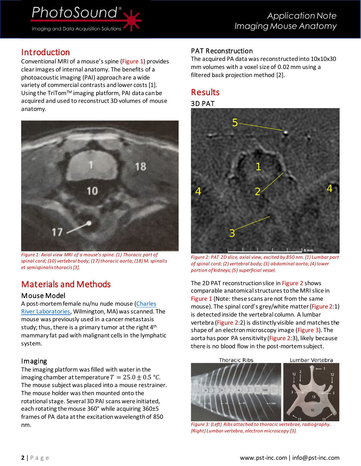# Introduction

Conventional MRI of a mouse's spine [\(Figure 1\)](#page-1-0) provides clear images of internal anatomy. The benefits of a photoacoustic imaging (PAI) approach are a wide variety of commercial contrasts and lower costs [\[1\].](#page-2-0) Using the TriTomTM imaging platform, PAI data can be acquired and used to reconstruct 3D volumes of mouse anatomy.



*Figure 1: Axial view MRI of a mouse's spine. (1) Thoracic part of spinal cord; (10) vertebral body; (17) thoracic aorta; (18) M. spinalis et semispinalis thoraci[s \[3\].](#page-2-1)*

# <span id="page-1-0"></span>Materials and Methods

#### Mouse Model

A post-mortem female nu/nu nude mouse (Charles [River Laboratories,](https://www.criver.com/products-services/find-model/nunu-nude-mouse?region=3611) Wilmington, MA) was scanned. The mouse was previously used in a cancer metastasis study; thus, there is a primary tumor at the right 4<sup>th</sup> mammary fat pad with malignant cells in the lymphatic system.

#### Imaging

The imaging platform was filled with water in the imaging chamber at temperature  $T = 25.0 \pm 0.5$  °C. The mouse subject was placed into a mouse restrainer. The mouse holder was then mounted onto the rotational stage. Several 3D PAI scans were initiated, each rotating the mouse 360° while acquiring 360±5 frames of PA data at the excitation wavelength of 850 nm.

### PAT Reconstruction

The acquired PA data was reconstructed into 10x10x30 mm volumes with a voxel size of 0.02mm using a filtered back projection method [\[2\].](#page-2-2)

## Results

#### 3D PAT



*Figure 2: PAT 2D slice, axial view, excited by 850 nm. (1) Lumbar part of spinal cord; (2) vertebral body; (3) abdominal aorta; (4) lower portion of kidneys; (5) superficial vessel.*

<span id="page-1-1"></span>The 2D PAT reconstruction slice i[n Figure 2](#page-1-1) shows comparable anatomical structures to the MRI slice in [Figure 1](#page-1-0) (Note: these scans are not from the same mouse). The spinal cord's grey/white matter[\(Figure 2:](#page-1-1)1) is detected inside the vertebral column. A lumbar vertebra [\(Figure 2:](#page-1-1)2) is distinctly visible and matches the shape of an electron microscopy image [\(Figure 3\)](#page-1-2). The aorta has poor PA sensitivity [\(Figure 2:](#page-1-1)3), likely because there is no blood flow in the post-mortem subject.



<span id="page-1-2"></span>*Figure 3: (Left) Ribs attached to thoracic vertebrae, radiography. (Right) Lumbar vertebra, electron microscop[y \[3\].](#page-2-1)*